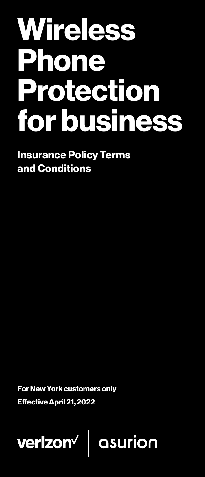# **Wireless** Phone Protection for business

Insurance Policy Terms and Conditions

For New York customers only

Effective April 21, 2022

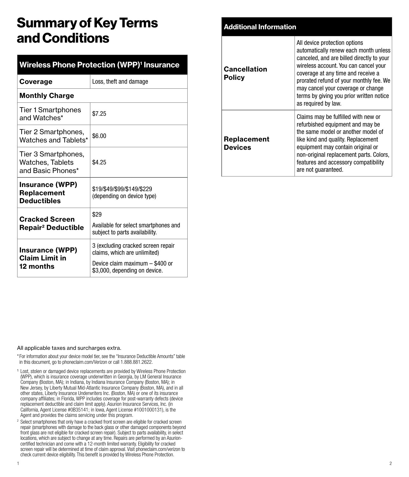# Summary of Key Terms and Conditions

| <b>Wireless Phone Protection (WPP)<sup>1</sup> Insurance</b> |                                                                        |  |
|--------------------------------------------------------------|------------------------------------------------------------------------|--|
| Coverage                                                     | Loss, theft and damage                                                 |  |
| <b>Monthly Charge</b>                                        |                                                                        |  |
| Tier 1 Smartphones<br>and Watches*                           | \$7.25                                                                 |  |
| Tier 2 Smartphones,<br>Watches and Tablets*                  | \$6.00                                                                 |  |
| Tier 3 Smartphones,<br>Watches, Tablets<br>and Basic Phones* | \$4.25                                                                 |  |
| <b>Insurance (WPP)</b><br>Replacement<br><b>Deductibles</b>  | \$19/\$49/\$99/\$149/\$229<br>(depending on device type)               |  |
| <b>Cracked Screen</b>                                        | \$29                                                                   |  |
| <b>Repair<sup>2</sup> Deductible</b>                         | Available for select smartphones and<br>subject to parts availability. |  |
| <b>Insurance (WPP)</b><br><b>Claim Limit in</b>              | 3 (excluding cracked screen repair<br>claims, which are unlimited)     |  |
| 12 months                                                    | Device claim maximum - \$400 or<br>\$3,000, depending on device.       |  |

| <b>Additional Information</b> |                                                                                                                                                                                                                                                                                                                                                        |
|-------------------------------|--------------------------------------------------------------------------------------------------------------------------------------------------------------------------------------------------------------------------------------------------------------------------------------------------------------------------------------------------------|
| Cancellation<br><b>Policy</b> | All device protection options<br>automatically renew each month unless<br>canceled, and are billed directly to your<br>wireless account. You can cancel your<br>coverage at any time and receive a<br>prorated refund of your monthly fee. We<br>may cancel your coverage or change<br>terms by giving you prior written notice<br>as required by law. |
| Replacement<br><b>Devices</b> | Claims may be fulfilled with new or<br>refurbished equipment and may be<br>the same model or another model of<br>like kind and quality. Replacement<br>equipment may contain original or<br>non-original replacement parts. Colors,<br>features and accessory compatibility<br>are not quaranteed.                                                     |

#### All applicable taxes and surcharges extra.

\* For information about your device model tier, see the "Insurance Deductible Amounts" table in this document, go to phoneclaim.com/Verizon or call 1.888.881.2622.

- <sup>1</sup> Lost, stolen or damaged device replacements are provided by Wireless Phone Protection (WPP), which is insurance coverage underwritten in Georgia, by LM General Insurance Company (Boston, MA); in Indiana, by Indiana Insurance Company (Boston, MA); in New Jersey, by Liberty Mutual Mid-Atlantic Insurance Company (Boston, MA), and in all other states, Liberty Insurance Underwriters Inc. (Boston, MA) or one of its insurance company affiliates; in Florida, WPP includes coverage for post-warranty defects (device replacement deductible and claim limit apply). Asurion Insurance Services, Inc. (in California, Agent License #0B35141; in Iowa, Agent License #1001000131), is the Agent and provides the claims servicing under this program.
- <sup>2</sup> Select smartphones that only have a cracked front screen are eligible for cracked screen repair (smartphones with damage to the back glass or other damaged components beyond front glass are not eligible for cracked screen repair). Subject to parts availability, in select locations, which are subject to change at any time. Repairs are performed by an Asurioncertified technician and come with a 12-month limited warranty. Eligibility for cracked screen repair will be determined at time of claim approval. Visit phoneclaim.com/verizon to check current device eligibility. This benefit is provided by Wireless Phone Protection.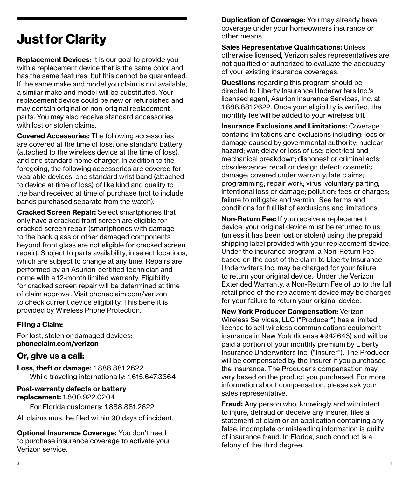# Just for Clarity

Replacement Devices: It is our goal to provide you with a replacement device that is the same color and has the same features, but this cannot be guaranteed. If the same make and model you claim is not available, a similar make and model will be substituted. Your replacement device could be new or refurbished and may contain original or non-original replacement parts. You may also receive standard accessories with lost or stolen claims.

Covered Accessories: The following accessories are covered at the time of loss: one standard battery (attached to the wireless device at the time of loss), and one standard home charger. In addition to the foregoing, the following accessories are covered for wearable devices: one standard wrist band (attached to device at time of loss) of like kind and quality to the band received at time of purchase (not to include bands purchased separate from the watch).

Cracked Screen Repair: Select smartphones that only have a cracked front screen are eligible for cracked screen repair (smartphones with damage to the back glass or other damaged components beyond front glass are not eligible for cracked screen repair). Subject to parts availability, in select locations, which are subject to change at any time. Repairs are performed by an Asurion-certified technician and come with a 12-month limited warranty. Eligibility for cracked screen repair will be determined at time of claim approval. Visit phoneclaim.com/verizon to check current device eligibility. This benefit is provided by Wireless Phone Protection.

#### Filing a Claim:

For lost, stolen or damaged devices: phoneclaim.com/verizon

#### **Or, give us a call:**

Loss, theft or damage: 1.888.881.2622 While traveling internationally: 1.615.647.3364

#### Post-warranty defects or battery replacement: 1.800.922.0204

For Florida customers: 1.888.881.2622

All claims must be filed within 90 days of incident.

Optional Insurance Coverage: You don't need to purchase insurance coverage to activate your Verizon service.

**Duplication of Coverage: You may already have** coverage under your homeowners insurance or other means.

Sales Representative Qualifications: Unless otherwise licensed, Verizon sales representatives are not qualified or authorized to evaluate the adequacy of your existing insurance coverages.

Questions regarding this program should be directed to Liberty Insurance Underwriters Inc.'s licensed agent, Asurion Insurance Services, Inc. at 1.888.881.2622. Once your eligibility is verified, the monthly fee will be added to your wireless bill.

Insurance Exclusions and Limitations: Coverage contains limitations and exclusions including: loss or damage caused by governmental authority; nuclear hazard; war; delay or loss of use; electrical and mechanical breakdown; dishonest or criminal acts; obsolescence; recall or design defect; cosmetic damage; covered under warranty; late claims; programming; repair work; virus; voluntary parting; intentional loss or damage; pollution; fees or charges; failure to mitigate; and vermin. See terms and conditions for full list of exclusions and limitations.

Non-Return Fee: If you receive a replacement device, your original device must be returned to us (unless it has been lost or stolen) using the prepaid shipping label provided with your replacement device. Under the insurance program, a Non-Return Fee based on the cost of the claim to Liberty Insurance Underwriters Inc. may be charged for your failure to return your original device. Under the Verizon Extended Warranty, a Non-Return Fee of up to the full retail price of the replacement device may be charged for your failure to return your original device.

New York Producer Compensation: Verizon Wireless Services, LLC ("Producer") has a limited license to sell wireless communications equipment insurance in New York (license #942643) and will be paid a portion of your monthly premium by Liberty Insurance Underwriters Inc. ("Insurer"). The Producer will be compensated by the Insurer if you purchased the insurance. The Producer's compensation may vary based on the product you purchased. For more information about compensation, please ask your sales representative.

**Fraud:** Any person who, knowingly and with intent to injure, defraud or deceive any insurer, files a statement of claim or an application containing any false, incomplete or misleading information is guilty of insurance fraud. In Florida, such conduct is a felony of the third degree.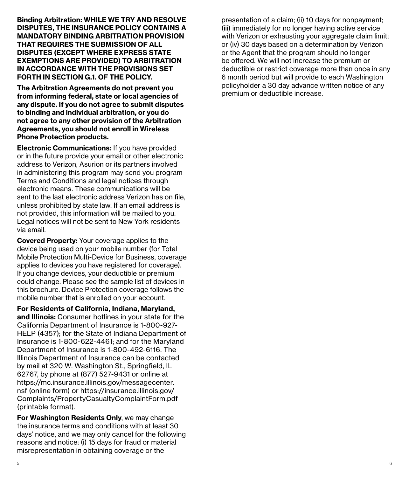Binding Arbitration: WHILE WE TRY AND RESOLVE DISPUTES, THE INSURANCE POLICY CONTAINS A MANDATORY BINDING ARBITRATION PROVISION THAT REQUIRES THE SUBMISSION OF ALL DISPUTES (EXCEPT WHERE EXPRESS STATE EXEMPTIONS ARE PROVIDED) TO ARBITRATION IN ACCORDANCE WITH THE PROVISIONS SET FORTH IN SECTION G.1. OF THE POLICY.

The Arbitration Agreements do not prevent you from informing federal, state or local agencies of any dispute. If you do not agree to submit disputes to binding and individual arbitration, or you do not agree to any other provision of the Arbitration Agreements, you should not enroll in Wireless Phone Protection products.

Electronic Communications: If you have provided or in the future provide your email or other electronic address to Verizon, Asurion or its partners involved in administering this program may send you program Terms and Conditions and legal notices through electronic means. These communications will be sent to the last electronic address Verizon has on file, unless prohibited by state law. If an email address is not provided, this information will be mailed to you. Legal notices will not be sent to New York residents via email.

Covered Property: Your coverage applies to the device being used on your mobile number (for Total Mobile Protection Multi-Device for Business, coverage applies to devices you have registered for coverage). If you change devices, your deductible or premium could change. Please see the sample list of devices in this brochure. Device Protection coverage follows the mobile number that is enrolled on your account.

For Residents of California, Indiana, Maryland, and Illinois: Consumer hotlines in your state for the California Department of Insurance is 1-800-927- HELP (4357); for the State of Indiana Department of Insurance is 1-800-622-4461; and for the Maryland Department of Insurance is 1-800-492-6116. The Illinois Department of Insurance can be contacted by mail at 320 W. Washington St., Springfield, IL 62767, by phone at (877) 527-9431 or online at https://mc.insurance.illinois.gov/messagecenter. nsf (online form) or https://insurance.illinois.gov/ Complaints/PropertyCasualtyComplaintForm.pdf (printable format).

For Washington Residents Only, we may change the insurance terms and conditions with at least 30 days' notice, and we may only cancel for the following reasons and notice: (i) 15 days for fraud or material misrepresentation in obtaining coverage or the

presentation of a claim; (ii) 10 days for nonpayment; (iii) immediately for no longer having active service with Verizon or exhausting your aggregate claim limit: or (iv) 30 days based on a determination by Verizon or the Agent that the program should no longer be offered. We will not increase the premium or deductible or restrict coverage more than once in any 6 month period but will provide to each Washington policyholder a 30 day advance written notice of any premium or deductible increase.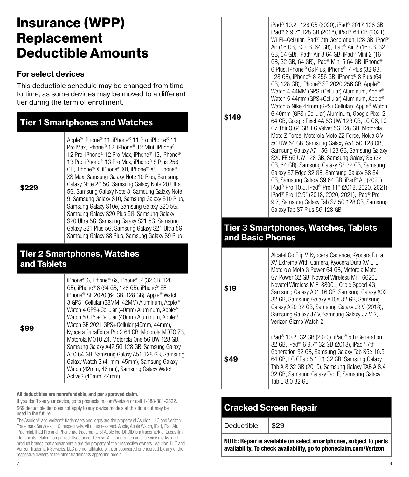# Insurance (WPP) **Replacement** Deductible Amounts

#### For select devices

This deductible schedule may be changed from time to time, as some devices may be moved to a different tier during the term of enrollment.

| <b>Tier 1 Smartphones and Watches</b> |                                                                                                                                                                                                                                                                                                                                                                                                                                                                                                                                                                                                                                                                                                                                                                                                                  |  |
|---------------------------------------|------------------------------------------------------------------------------------------------------------------------------------------------------------------------------------------------------------------------------------------------------------------------------------------------------------------------------------------------------------------------------------------------------------------------------------------------------------------------------------------------------------------------------------------------------------------------------------------------------------------------------------------------------------------------------------------------------------------------------------------------------------------------------------------------------------------|--|
| \$229                                 | Apple® iPhone® 11. iPhone® 11 Pro. iPhone® 11<br>Pro Max. iPhone <sup>®</sup> 12. iPhone <sup>®</sup> 12 Mini. iPhone <sup>®</sup><br>12 Pro. iPhone <sup>®</sup> 12 Pro Max. iPhone <sup>®</sup> 13. iPhone <sup>®</sup><br>13 Pro. iPhone <sup>®</sup> 13 Pro Max. iPhone <sup>®</sup> 8 Plus 256<br>GB. iPhone® X. iPhone® XR. iPhone® XS. iPhone®<br>XS Max, Samsung Galaxy Note 10 Plus, Samsung<br>Galaxy Note 20 5G, Samsung Galaxy Note 20 Ultra<br>5G, Samsung Galaxy Note 8, Samsung Galaxy Note<br>9, Samsung Galaxy S10, Samsung Galaxy S10 Plus,<br>Samsung Galaxy S10e, Samsung Galaxy S20 5G,<br>Samsung Galaxy S20 Plus 5G, Samsung Galaxy<br>S20 Ultra 5G, Samsung Galaxy S21 5G, Samsung<br>Galaxy S21 Plus 5G, Samsung Galaxy S21 Ultra 5G,<br>Samsung Galaxy S8 Plus, Samsung Galaxy S9 Plus |  |

## Tier 2 Smartphones, Watches and Tablets

All deductibles are nonrefundable, and per approved claim.

If you don't see your device, go to phoneclaim.com/Verizon or call 1-888-881-2622. \$69 deductible tier does not apply to any device models at this time but may be used in the future.

The Asurion® and Verizon® trademarks and logos are the property of Asurion, LLC and Verizon Trademark Services, LLC, respectively. All rights reserved. Apple, Apple Watch, iPad, iPad Air, iPad mini, iPad Pro and iPhone are trademarks of Apple Inc. DROID is a trademark of Lucasfilm Ltd. and its related companies. Used under license. All other trademarks, service marks, and product brands that appear herein are the property of their respective owners. Asurion, LLC and Verizon Trademark Services, LLC are not affiliated with, or sponsored or endorsed by, any of the respective owners of the other trademarks appearing herein.

**\$149**

iPad® 10.2" 128 GB (2020), iPad® 2017 128 GB, iPad® 6 9.7" 128 GB (2018), iPad® 64 GB (2021) Wi-Fi+Cellular, iPad® 7th Generation 128 GB, iPad® Air (16 GB, 32 GB, 64 GB), iPad® Air 2 (16 GB, 32 GB, 64 GB), iPad® Air 3 64 GB, iPad® Mini 2 (16 GB, 32 GB, 64 GB), iPad® Mini 5 64 GB, iPhone® 6 Plus, iPhone® 6s Plus, iPhone® 7 Plus (32 GB, 128 GB), iPhone® 8 256 GB, iPhone® 8 Plus (64 GB, 128 GB), iPhone® SE 2020 256 GB, Apple® Watch 4 44MM (GPS+Cellular) Aluminum, Apple® Watch 5 44mm (GPS+Cellular) Aluminum, Apple® Watch 5 Nike 44mm (GPS+Cellular), Apple® Watch 6 40mm (GPS+Cellular) Aluminum, Google Pixel 2 64 GB, Google Pixel 4A 5G UW 128 GB, LG G6, LG G7 ThinQ 64 GB, LG Velvet 5G 128 GB, Motorola Moto Z Force, Motorola Moto Z2 Force, Nokia 8 V 5G UW 64 GB, Samsung Galaxy A51 5G 128 GB, Samsung Galaxy A71 5G 128 GB, Samsung Galaxy S20 FE 5G UW 128 GB, Samsung Galaxy S6 (32 GB, 64 GB), Samsung Galaxy S7 32 GB, Samsung Galaxy S7 Edge 32 GB, Samsung Galaxy S8 64 GB, Samsung Galaxy S9 64 GB, iPad® Air (2020), iPad® Pro 10.5, iPad® Pro 11" (2018, 2020, 2021), iPad® Pro 12.9" (2018, 2020, 2021), iPad® Pro 9.7, Samsung Galaxy Tab S7 5G 128 GB, Samsung Galaxy Tab S7 Plus 5G 128 GB

#### Tier 3 Smartphones, Watches, Tablets and Basic Phones

| \$19 | Alcatel Go Flip V, Kyocera Cadence, Kyocera Dura<br>XV Extreme With Camera, Kyocera Dura XV LTE,<br>Motorola Moto G Power 64 GB, Motorola Moto<br>G7 Power 32 GB, Novatel Wireless MiFi 6620L.<br>Novatel Wireless MiFi 8800L, Orbic Speed 4G,<br>Samsung Galaxy A01 16 GB, Samsung Galaxy A02<br>32 GB, Samsung Galaxy A10e 32 GB, Samsung<br>Galaxy A20 32 GB, Samsung Galaxy J3 V (2018),<br>Samsung Galaxy J7 V, Samsung Galaxy J7 V 2,<br>Verizon Gizmo Watch 2 |
|------|----------------------------------------------------------------------------------------------------------------------------------------------------------------------------------------------------------------------------------------------------------------------------------------------------------------------------------------------------------------------------------------------------------------------------------------------------------------------|
| \$49 | iPad <sup>®</sup> 10.2" 32 GB (2020), iPad <sup>®</sup> 5th Generation<br>32 GB, iPad® 6 9.7" 32 GB (2018), iPad® 7th<br>Generation 32 GB, Samsung Galaxy Tab S5e 10.5"<br>64 GB, LG GPad 5 10.1 32 GB, Samsung Galaxy<br>Tab A 8 32 GB (2019), Samsung Galaxy TAB A 8.4<br>32 GB, Samsung Galaxy Tab E, Samsung Galaxy<br>Tab E 8.0 32 GB                                                                                                                           |

# Cracked Screen Repair

Deductible  $\frac{1}{2}$ \$29

NOTE: Repair is available on select smartphones, subject to parts availability. To check availability, go to phoneclaim.com/Verizon.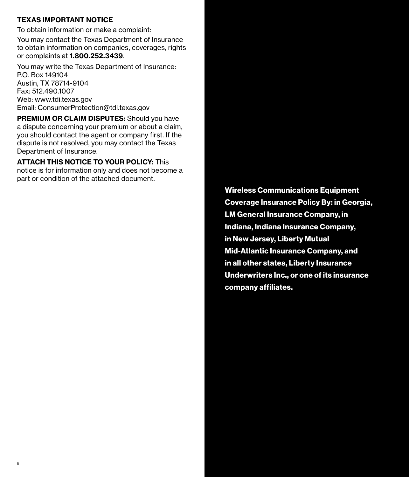#### TEXAS IMPORTANT NOTICE

To obtain information or make a complaint: You may contact the Texas Department of Insurance to obtain information on companies, coverages, rights or complaints at 1.800.252.3439.

You may write the Texas Department of Insurance: P.O. Box 149104 Austin, TX 78714-9104 Fax: 512.490.1007 Web: www.tdi.texas.gov Email: ConsumerProtection@tdi.texas.gov

PREMIUM OR CLAIM DISPUTES: Should you have a dispute concerning your premium or about a claim, you should contact the agent or company first. If the dispute is not resolved, you may contact the Texas Department of Insurance.

ATTACH THIS NOTICE TO YOUR POLICY: This notice is for information only and does not become a part or condition of the attached document.

> Wireless Communications Equipment Coverage Insurance Policy By: in Georgia, LM General Insurance Company, in Indiana, Indiana Insurance Company, in New Jersey, Liberty Mutual Mid-Atlantic Insurance Company, and in all other states, Liberty Insurance Underwriters Inc., or one of its insurance company affiliates.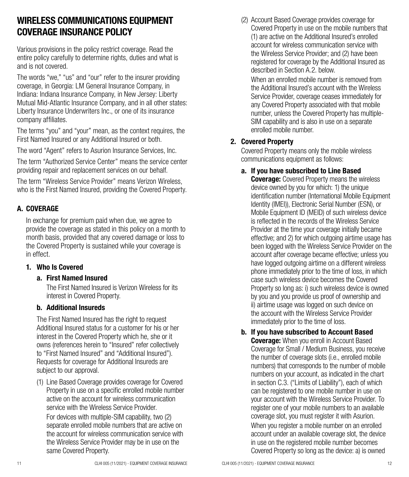# WIRELESS COMMUNICATIONS EQUIPMENT COVERAGE INSURANCE POLICY

Various provisions in the policy restrict coverage. Read the entire policy carefully to determine rights, duties and what is and is not covered.

The words "we," "us" and "our" refer to the insurer providing coverage, in Georgia: LM General Insurance Company, in Indiana: Indiana Insurance Company, in New Jersey: Liberty Mutual Mid-Atlantic Insurance Company, and in all other states: Liberty Insurance Underwriters Inc., or one of its insurance company affiliates.

The terms "you" and "your" mean, as the context requires, the First Named Insured or any Additional Insured or both.

The word "Agent" refers to Asurion Insurance Services, Inc.

The term "Authorized Service Center" means the service center providing repair and replacement services on our behalf.

The term "Wireless Service Provider" means Verizon Wireless, who is the First Named Insured, providing the Covered Property.

#### A. COVERAGE

In exchange for premium paid when due, we agree to provide the coverage as stated in this policy on a month to month basis, provided that any covered damage or loss to the Covered Property is sustained while your coverage is in effect.

#### 1. Who Is Covered

#### a. First Named Insured

The First Named Insured is Verizon Wireless for its interest in Covered Property.

#### b. Additional Insureds

The First Named Insured has the right to request Additional Insured status for a customer for his or her interest in the Covered Property which he, she or it owns (references herein to "Insured" refer collectively to "First Named Insured" and "Additional Insured"). Requests for coverage for Additional Insureds are subject to our approval.

(1) Line Based Coverage provides coverage for Covered Property in use on a specific enrolled mobile number active on the account for wireless communication service with the Wireless Service Provider.

For devices with multiple-SIM capability, two (2) separate enrolled mobile numbers that are active on the account for wireless communication service with the Wireless Service Provider may be in use on the same Covered Property.

When an enrolled mobile number is removed from the Additional Insured's account with the Wireless Service Provider, coverage ceases immediately for any Covered Property associated with that mobile number, unless the Covered Property has multiple-SIM capability and is also in use on a separate enrolled mobile number.

#### 2. Covered Property

Covered Property means only the mobile wireless communications equipment as follows:

a. If you have subscribed to Line Based

**Coverage:** Covered Property means the wireless device owned by you for which: 1) the unique identification number (International Mobile Equipment Identity (IMEI)), Electronic Serial Number (ESN), or Mobile Equipment ID (MEID) of such wireless device is reflected in the records of the Wireless Service Provider at the time your coverage initially became effective; and 2) for which outgoing airtime usage has been logged with the Wireless Service Provider on the account after coverage became effective; unless you have logged outgoing airtime on a different wireless phone immediately prior to the time of loss, in which case such wireless device becomes the Covered Property so long as: i) such wireless device is owned by you and you provide us proof of ownership and ii) airtime usage was logged on such device on the account with the Wireless Service Provider immediately prior to the time of loss.

b. If you have subscribed to Account Based **Coverage:** When you enroll in Account Based Coverage for Small / Medium Business, you receive the number of coverage slots (i.e., enrolled mobile numbers) that corresponds to the number of mobile numbers on your account, as indicated in the chart in section C.3. ("Limits of Liability"), each of which can be registered to one mobile number in use on your account with the Wireless Service Provider. To register one of your mobile numbers to an available coverage slot, you must register it with Asurion. When you register a mobile number on an enrolled account under an available coverage slot, the device in use on the registered mobile number becomes Covered Property so long as the device: a) is owned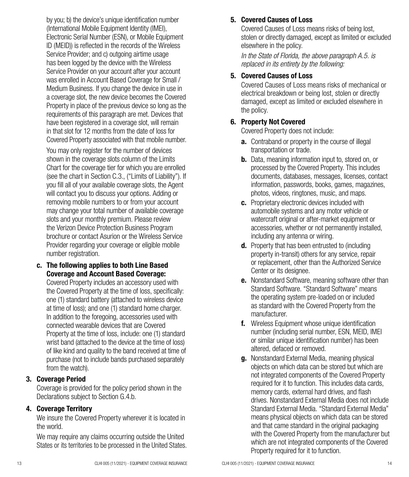by you; b) the device's unique identification number (International Mobile Equipment Identity (IMEI), Electronic Serial Number (ESN), or Mobile Equipment ID (MEID)) is reflected in the records of the Wireless Service Provider; and c) outgoing airtime usage has been logged by the device with the Wireless Service Provider on your account after your account was enrolled in Account Based Coverage for Small / Medium Business. If you change the device in use in a coverage slot, the new device becomes the Covered Property in place of the previous device so long as the requirements of this paragraph are met. Devices that have been registered in a coverage slot, will remain in that slot for 12 months from the date of loss for Covered Property associated with that mobile number.

You may only register for the number of devices shown in the coverage slots column of the Limits Chart for the coverage tier for which you are enrolled (see the chart in Section C.3., ("Limits of Liability"). If you fill all of your available coverage slots, the Agent will contact you to discuss your options. Adding or removing mobile numbers to or from your account may change your total number of available coverage slots and your monthly premium. Please review the Verizon Device Protection Business Program brochure or contact Asurion or the Wireless Service Provider regarding your coverage or eligible mobile number registration.

c. The following applies to both Line Based Coverage and Account Based Coverage:

Covered Property includes an accessory used with the Covered Property at the time of loss, specifically: one (1) standard battery (attached to wireless device at time of loss); and one (1) standard home charger. In addition to the foregoing, accessories used with connected wearable devices that are Covered Property at the time of loss, include: one (1) standard wrist band (attached to the device at the time of loss) of like kind and quality to the band received at time of purchase (not to include bands purchased separately from the watch).

#### 3. Coverage Period

Coverage is provided for the policy period shown in the Declarations subject to Section G.4.b.

#### 4. Coverage Territory

We insure the Covered Property wherever it is located in the world.

We may require any claims occurring outside the United States or its territories to be processed in the United States.

#### 5. Covered Causes of Loss

Covered Causes of Loss means risks of being lost, stolen or directly damaged, except as limited or excluded elsewhere in the policy.

*In the State of Florida, the above paragraph A.5. is replaced in its entirety by the following:*

#### 5. Covered Causes of Loss

Covered Causes of Loss means risks of mechanical or electrical breakdown or being lost, stolen or directly damaged, except as limited or excluded elsewhere in the policy.

#### 6. Property Not Covered

Covered Property does not include:

- **a.** Contraband or property in the course of illegal transportation or trade.
- **b.** Data, meaning information input to, stored on, or processed by the Covered Property. This includes documents, databases, messages, licenses, contact information, passwords, books, games, magazines, photos, videos, ringtones, music, and maps.
- c. Proprietary electronic devices included with automobile systems and any motor vehicle or watercraft original or after-market equipment or accessories, whether or not permanently installed, including any antenna or wiring.
- **d.** Property that has been entrusted to (including property in-transit) others for any service, repair or replacement, other than the Authorized Service Center or its designee.
- **e.** Nonstandard Software, meaning software other than Standard Software. "Standard Software" means the operating system pre-loaded on or included as standard with the Covered Property from the manufacturer.
- f. Wireless Equipment whose unique identification number (including serial number, ESN, MEID, IMEI or similar unique identification number) has been altered, defaced or removed.
- **g.** Nonstandard External Media, meaning physical objects on which data can be stored but which are not integrated components of the Covered Property required for it to function. This includes data cards, memory cards, external hard drives, and flash drives. Nonstandard External Media does not include Standard External Media. "Standard External Media" means physical objects on which data can be stored and that came standard in the original packaging with the Covered Property from the manufacturer but which are not integrated components of the Covered Property required for it to function.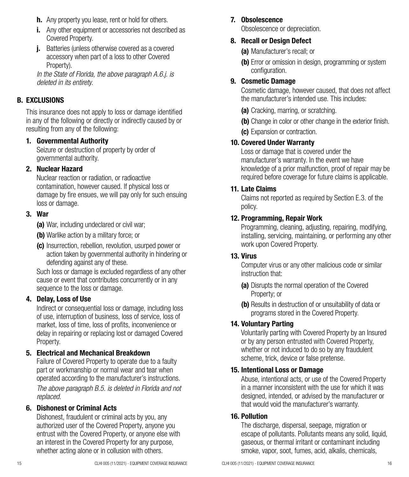- **h.** Any property you lease, rent or hold for others.
- i. Any other equipment or accessories not described as Covered Property.
- j. Batteries (unless otherwise covered as a covered accessory when part of a loss to other Covered Property).

*In the State of Florida, the above paragraph A.6.j. is deleted in its entirety.*

#### B. EXCLUSIONS

This insurance does not apply to loss or damage identified in any of the following or directly or indirectly caused by or resulting from any of the following:

#### 1. Governmental Authority

Seizure or destruction of property by order of governmental authority.

#### 2. Nuclear Hazard

Nuclear reaction or radiation, or radioactive contamination, however caused. If physical loss or damage by fire ensues, we will pay only for such ensuing loss or damage.

#### 3. War

(a) War, including undeclared or civil war;

- (b) Warlike action by a military force; or
- (c) Insurrection, rebellion, revolution, usurped power or action taken by governmental authority in hindering or defending against any of these.

Such loss or damage is excluded regardless of any other cause or event that contributes concurrently or in any sequence to the loss or damage.

#### 4. Delay, Loss of Use

Indirect or consequential loss or damage, including loss of use, interruption of business, loss of service, loss of market, loss of time, loss of profits, inconvenience or delay in repairing or replacing lost or damaged Covered Property.

#### 5. Electrical and Mechanical Breakdown

Failure of Covered Property to operate due to a faulty part or workmanship or normal wear and tear when operated according to the manufacturer's instructions. *The above paragraph B.5. is deleted in Florida and not replaced.*

#### 6. Dishonest or Criminal Acts

Dishonest, fraudulent or criminal acts by you, any authorized user of the Covered Property, anyone you entrust with the Covered Property, or anyone else with an interest in the Covered Property for any purpose, whether acting alone or in collusion with others.

#### 7. Obsolescence

Obsolescence or depreciation.

#### 8. Recall or Design Defect

(a) Manufacturer's recall; or

(b) Error or omission in design, programming or system configuration.

#### 9. Cosmetic Damage

Cosmetic damage, however caused, that does not affect the manufacturer's intended use. This includes:

(a) Cracking, marring, or scratching.

(b) Change in color or other change in the exterior finish.

(c) Expansion or contraction.

#### 10. Covered Under Warranty

Loss or damage that is covered under the manufacturer's warranty. In the event we have knowledge of a prior malfunction, proof of repair may be required before coverage for future claims is applicable.

#### 11. Late Claims

Claims not reported as required by Section E.3. of the policy.

#### 12. Programming, Repair Work

Programming, cleaning, adjusting, repairing, modifying, installing, servicing, maintaining, or performing any other work upon Covered Property.

#### 13. Virus

Computer virus or any other malicious code or similar instruction that:

- (a) Disrupts the normal operation of the Covered Property; or
- (b) Results in destruction of or unsuitability of data or programs stored in the Covered Property.

#### 14. Voluntary Parting

Voluntarily parting with Covered Property by an Insured or by any person entrusted with Covered Property, whether or not induced to do so by any fraudulent scheme, trick, device or false pretense.

#### 15. Intentional Loss or Damage

Abuse, intentional acts, or use of the Covered Property in a manner inconsistent with the use for which it was designed, intended, or advised by the manufacturer or that would void the manufacturer's warranty.

#### 16. Pollution

The discharge, dispersal, seepage, migration or escape of pollutants. Pollutants means any solid, liquid, gaseous, or thermal irritant or contaminant including smoke, vapor, soot, fumes, acid, alkalis, chemicals,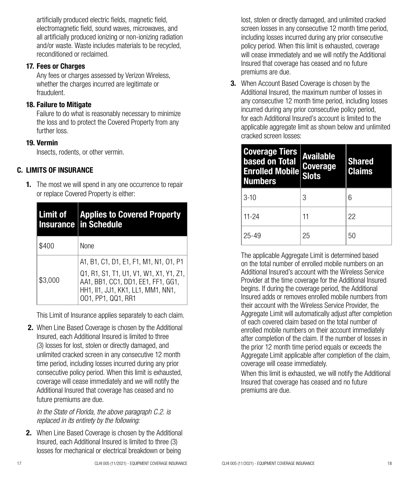artificially produced electric fields, magnetic field, electromagnetic field, sound waves, microwaves, and all artificially produced ionizing or non-ionizing radiation and/or waste. Waste includes materials to be recycled, reconditioned or reclaimed.

#### 17. Fees or Charges

Any fees or charges assessed by Verizon Wireless, whether the charges incurred are legitimate or fraudulent.

#### 18. Failure to Mitigate

Failure to do what is reasonably necessary to minimize the loss and to protect the Covered Property from any further loss.

#### 19. Vermin

Insects, rodents, or other vermin.

#### C. LIMITS OF INSURANCE

**1.** The most we will spend in any one occurrence to repair or replace Covered Property is either:

| Limit of | <b>Applies to Covered Property</b><br><b>Insurance in Schedule</b>                                                                                                                  |
|----------|-------------------------------------------------------------------------------------------------------------------------------------------------------------------------------------|
| \$400    | None                                                                                                                                                                                |
| \$3.000  | A1, B1, C1, D1, E1, F1, M1, N1, O1, P1<br>Q1, R1, S1, T1, U1, V1, W1, X1, Y1, Z1,<br>AA1, BB1, CC1, DD1, EE1, FF1, GG1,<br>HH1, II1, JJ1, KK1, LL1, MM1, NN1,<br>001, PP1, QQ1, RR1 |

This Limit of Insurance applies separately to each claim.

 2. When Line Based Coverage is chosen by the Additional Insured, each Additional Insured is limited to three (3) losses for lost, stolen or directly damaged, and unlimited cracked screen in any consecutive 12 month time period, including losses incurred during any prior consecutive policy period. When this limit is exhausted, coverage will cease immediately and we will notify the Additional Insured that coverage has ceased and no future premiums are due.

*In the State of Florida, the above paragraph C.2. is replaced in its entirety by the following:* 

**2.** When Line Based Coverage is chosen by the Additional Insured, each Additional Insured is limited to three (3) losses for mechanical or electrical breakdown or being

lost, stolen or directly damaged, and unlimited cracked screen losses in any consecutive 12 month time period, including losses incurred during any prior consecutive policy period. When this limit is exhausted, coverage will cease immediately and we will notify the Additional Insured that coverage has ceased and no future premiums are due.

3. When Account Based Coverage is chosen by the Additional Insured, the maximum number of losses in any consecutive 12 month time period, including losses incurred during any prior consecutive policy period, for each Additional Insured's account is limited to the applicable aggregate limit as shown below and unlimited cracked screen losses:

| <b>Coverage Tiers</b><br>based on Total<br><b>Enrolled Mobile Coverage</b><br><b>Numbers</b> | <b>Available</b><br><b>Slots</b> | <b>Shared</b><br><b>Claims</b> |
|----------------------------------------------------------------------------------------------|----------------------------------|--------------------------------|
| $3-10$                                                                                       | 3                                | հ                              |
| $11-24$                                                                                      | 11                               | 22                             |
| $25 - 49$                                                                                    | 25                               | 50                             |

The applicable Aggregate Limit is determined based on the total number of enrolled mobile numbers on an Additional Insured's account with the Wireless Service Provider at the time coverage for the Additional Insured begins. If during the coverage period, the Additional Insured adds or removes enrolled mobile numbers from their account with the Wireless Service Provider, the Aggregate Limit will automatically adjust after completion of each covered claim based on the total number of enrolled mobile numbers on their account immediately after completion of the claim. If the number of losses in the prior 12 month time period equals or exceeds the Aggregate Limit applicable after completion of the claim, coverage will cease immediately.

When this limit is exhausted, we will notify the Additional Insured that coverage has ceased and no future premiums are due.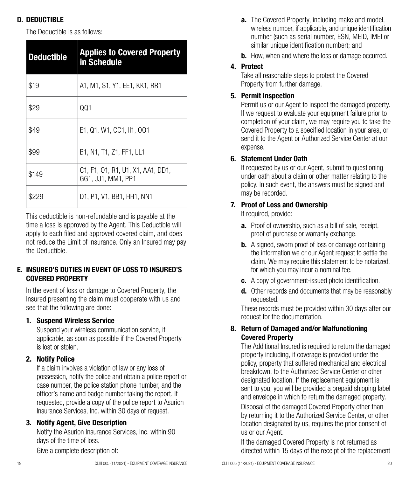# D. DEDUCTIBLE

The Deductible is as follows:

| <b>Deductible</b> | <b>Applies to Covered Property</b><br>in Schedule       |
|-------------------|---------------------------------------------------------|
| \$19              | A1, M1, S1, Y1, EE1, KK1, RR1                           |
| \$29              | 001                                                     |
| \$49              | E1, Q1, W1, CC1, II1, 001                               |
| \$99              | B1, N1, T1, Z1, FF1, LL1                                |
| \$149             | C1, F1, O1, R1, U1, X1, AA1, DD1,<br>GG1, JJ1, MM1, PP1 |
| \$229             | D1, P1, V1, BB1, HH1, NN1                               |

This deductible is non-refundable and is payable at the time a loss is approved by the Agent. This Deductible will apply to each filed and approved covered claim, and does not reduce the Limit of Insurance. Only an Insured may pay the Deductible.

#### E. INSURED'S DUTIES IN EVENT OF LOSS TO INSURED'S COVERED PROPERTY

In the event of loss or damage to Covered Property, the Insured presenting the claim must cooperate with us and see that the following are done:

#### 1. Suspend Wireless Service

Suspend your wireless communication service, if applicable, as soon as possible if the Covered Property is lost or stolen.

#### 2. Notify Police

If a claim involves a violation of law or any loss of possession, notify the police and obtain a police report or case number, the police station phone number, and the officer's name and badge number taking the report. If requested, provide a copy of the police report to Asurion Insurance Services, Inc. within 30 days of request.

#### 3. Notify Agent, Give Description

Notify the Asurion Insurance Services, Inc. within 90 days of the time of loss.

Give a complete description of:

- a. The Covered Property, including make and model, wireless number, if applicable, and unique identification number (such as serial number, ESN, MEID, IMEI or similar unique identification number); and
- **b.** How, when and where the loss or damage occurred.

# 4. Protect

Take all reasonable steps to protect the Covered Property from further damage.

# 5. Permit Inspection

Permit us or our Agent to inspect the damaged property. If we request to evaluate your equipment failure prior to completion of your claim, we may require you to take the Covered Property to a specified location in your area, or send it to the Agent or Authorized Service Center at our expense.

#### 6. Statement Under Oath

If requested by us or our Agent, submit to questioning under oath about a claim or other matter relating to the policy. In such event, the answers must be signed and may be recorded.

## 7. Proof of Loss and Ownership

If required, provide:

- a. Proof of ownership, such as a bill of sale, receipt, proof of purchase or warranty exchange.
- **b.** A signed, sworn proof of loss or damage containing the information we or our Agent request to settle the claim. We may require this statement to be notarized, for which you may incur a nominal fee.
- c. A copy of government-issued photo identification.
- d. Other records and documents that may be reasonably requested.

These records must be provided within 30 days after our request for the documentation.

#### 8. Return of Damaged and/or Malfunctioning Covered Property

The Additional Insured is required to return the damaged property including, if coverage is provided under the policy, property that suffered mechanical and electrical breakdown, to the Authorized Service Center or other designated location. If the replacement equipment is sent to you, you will be provided a prepaid shipping label and envelope in which to return the damaged property.

Disposal of the damaged Covered Property other than by returning it to the Authorized Service Center, or other location designated by us, requires the prior consent of us or our Agent.

If the damaged Covered Property is not returned as directed within 15 days of the receipt of the replacement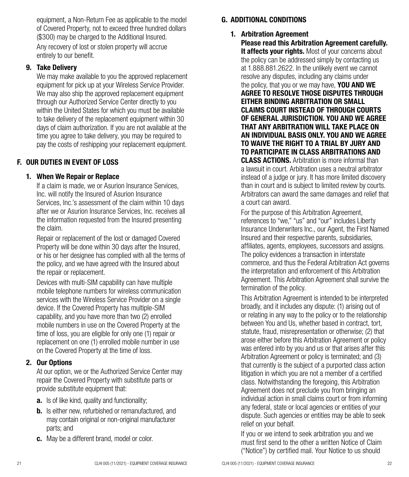equipment, a Non-Return Fee as applicable to the model of Covered Property, not to exceed three hundred dollars (\$300) may be charged to the Additional Insured.

Any recovery of lost or stolen property will accrue entirely to our benefit.

#### 9. Take Delivery

We may make available to you the approved replacement equipment for pick up at your Wireless Service Provider. We may also ship the approved replacement equipment through our Authorized Service Center directly to you within the United States for which you must be available to take delivery of the replacement equipment within 30 days of claim authorization. If you are not available at the time you agree to take delivery, you may be required to pay the costs of reshipping your replacement equipment.

#### F. OUR DUTIES IN EVENT OF LOSS

#### 1. When We Repair or Replace

If a claim is made, we or Asurion Insurance Services, Inc. will notify the Insured of Asurion Insurance Services, Inc.'s assessment of the claim within 10 days after we or Asurion Insurance Services, Inc. receives all the information requested from the Insured presenting the claim.

Repair or replacement of the lost or damaged Covered Property will be done within 30 days after the Insured, or his or her designee has complied with all the terms of the policy, and we have agreed with the Insured about the repair or replacement.

Devices with multi-SIM capability can have multiple mobile telephone numbers for wireless communication services with the Wireless Service Provider on a single device. If the Covered Property has multiple-SIM capability, and you have more than two (2) enrolled mobile numbers in use on the Covered Property at the time of loss, you are eligible for only one (1) repair or replacement on one (1) enrolled mobile number in use on the Covered Property at the time of loss.

#### 2. Our Options

At our option, we or the Authorized Service Center may repair the Covered Property with substitute parts or provide substitute equipment that:

- **a.** Is of like kind, quality and functionality;
- **b.** Is either new, refurbished or remanufactured, and may contain original or non-original manufacturer parts; and
- c. May be a different brand, model or color.

#### G. ADDITIONAL CONDITIONS

#### 1. Arbitration Agreement

Please read this Arbitration Agreement carefully. It affects vour rights. Most of your concerns about the policy can be addressed simply by contacting us at 1.888.881.2622. In the unlikely event we cannot resolve any disputes, including any claims under the policy, that you or we may have, **YOU AND WE** AGREE TO RESOLVE THOSE DISPUTES THROUGH EITHER BINDING ARBITRATION OR SMALL CLAIMS COURT INSTEAD OF THROUGH COURTS OF GENERAL JURISDICTION. YOU AND WE AGREE THAT ANY ARBITRATION WILL TAKE PLACE ON AN INDIVIDUAL BASIS ONLY. YOU AND WE AGREE TO WAIVE THE RIGHT TO A TRIAL BY JURY AND TO PARTICIPATE IN CLASS ARBITRATIONS AND CLASS ACTIONS. Arbitration is more informal than a lawsuit in court. Arbitration uses a neutral arbitrator instead of a judge or jury. It has more limited discovery than in court and is subject to limited review by courts. Arbitrators can award the same damages and relief that a court can award.

For the purpose of this Arbitration Agreement, references to "we," "us" and "our" includes Liberty Insurance Underwriters Inc., our Agent, the First Named Insured and their respective parents, subsidiaries, affiliates, agents, employees, successors and assigns. The policy evidences a transaction in interstate commerce, and thus the Federal Arbitration Act governs the interpretation and enforcement of this Arbitration Agreement. This Arbitration Agreement shall survive the termination of the policy.

This Arbitration Agreement is intended to be interpreted broadly, and it includes any dispute: (1) arising out of or relating in any way to the policy or to the relationship between You and Us, whether based in contract, tort, statute, fraud, misrepresentation or otherwise; (2) that arose either before this Arbitration Agreement or policy was entered into by you and us or that arises after this Arbitration Agreement or policy is terminated; and (3) that currently is the subject of a purported class action litigation in which you are not a member of a certified class. Notwithstanding the foregoing, this Arbitration Agreement does not preclude you from bringing an individual action in small claims court or from informing any federal, state or local agencies or entities of your dispute. Such agencies or entities may be able to seek relief on your behalf.

If you or we intend to seek arbitration you and we must first send to the other a written Notice of Claim ("Notice") by certified mail. Your Notice to us should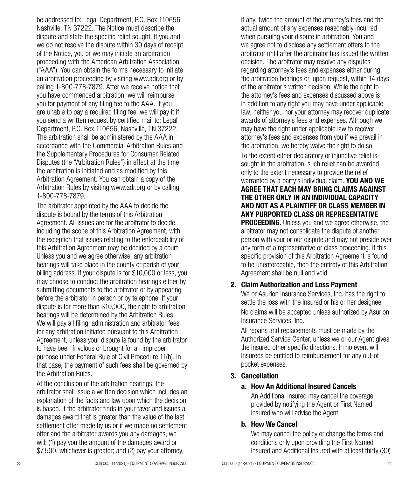be addressed to: Legal Department, P.O. Box 110656, Nashville, TN 37222. The Notice must describe the dispute and state the specific relief sought. If you and we do not resolve the dispute within 30 days of receipt of the Notice, you or we may initiate an arbitration proceeding with the American Arbitration Association ("AAA"). You can obtain the forms necessary to initiate an arbitration proceeding by visiting www.adr.org or by calling 1-800-778-7879. After we receive notice that you have commenced arbitration, we will reimburse you for payment of any filing fee to the AAA. If you are unable to pay a required filing fee, we will pay it if you send a written request by certified mail to: Legal Department, P.O. Box 110656, Nashville, TN 37222. The arbitration shall be administered by the AAA in accordance with the Commercial Arbitration Rules and the Supplementary Procedures for Consumer Related Disputes (the "Arbitration Rules") in effect at the time the arbitration is initiated and as modified by this Arbitration Agreement. You can obtain a copy of the Arbitration Rules by visiting www.adr.org or by calling 1-800-778-7879.

The arbitrator appointed by the AAA to decide the dispute is bound by the terms of this Arbitration Agreement. All issues are for the arbitrator to decide, including the scope of this Arbitration Agreement, with the exception that issues relating to the enforceability of this Arbitration Agreement may be decided by a court. Unless you and we agree otherwise, any arbitration hearings will take place in the county or parish of your billing address. If your dispute is for \$10,000 or less, you may choose to conduct the arbitration hearings either by submitting documents to the arbitrator or by appearing before the arbitrator in person or by telephone. If your dispute is for more than \$10,000, the right to arbitration hearings will be determined by the Arbitration Rules. We will pay all filing, administration and arbitrator fees for any arbitration initiated pursuant to this Arbitration Agreement, unless your dispute is found by the arbitrator to have been frivolous or brought for an improper purpose under Federal Rule of Civil Procedure 11(b). In that case, the payment of such fees shall be governed by the Arbitration Rules.

At the conclusion of the arbitration hearings, the arbitrator shall issue a written decision which includes an explanation of the facts and law upon which the decision is based. If the arbitrator finds in your favor and issues a damages award that is greater than the value of the last settlement offer made by us or if we made no settlement offer and the arbitrator awards you any damages, we will: (1) pay you the amount of the damages award or \$7,500, whichever is greater; and (2) pay your attorney,

if any, twice the amount of the attorney's fees and the actual amount of any expenses reasonably incurred when pursuing your dispute in arbitration. You and we agree not to disclose any settlement offers to the arbitrator until after the arbitrator has issued the written decision. The arbitrator may resolve any disputes regarding attorney's fees and expenses either during the arbitration hearings or, upon request, within 14 days of the arbitrator's written decision. While the right to the attorney's fees and expenses discussed above is in addition to any right you may have under applicable law, neither you nor your attorney may recover duplicate awards of attorney's fees and expenses. Although we may have the right under applicable law to recover attorney's fees and expenses from you if we prevail in the arbitration, we hereby waive the right to do so.

To the extent either declaratory or injunctive relief is sought in the arbitration, such relief can be awarded only to the extent necessary to provide the relief warranted by a party's individual claim. YOU AND WE AGREE THAT EACH MAY BRING CLAIMS AGAINST THE OTHER ONLY IN AN INDIVIDUAL CAPACITY AND NOT AS A PLAINTIFF OR CLASS MEMBER IN ANY PURPORTED CLASS OR REPRESENTATIVE

**PROCEEDING.** Unless you and we agree otherwise, the arbitrator may not consolidate the dispute of another person with your or our dispute and may not preside over any form of a representative or class proceeding. If this specific provision of this Arbitration Agreement is found to be unenforceable, then the entirety of this Arbitration Agreement shall be null and void.

#### 2. Claim Authorization and Loss Payment

We or Asurion Insurance Services, Inc. has the right to settle the loss with the Insured or his or her designee. No claims will be accepted unless authorized by Asurion Insurance Services, Inc.

All repairs and replacements must be made by the Authorized Service Center, unless we or our Agent gives the Insured other specific directions. In no event will Insureds be entitled to reimbursement for any out-ofpocket expenses.

#### 3. Cancellation

#### a. How An Additional Insured Cancels

An Additional Insured may cancel the coverage provided by notifying the Agent or First Named Insured who will advise the Agent.

#### b. How We Cancel

We may cancel the policy or change the terms and conditions only upon providing the First Named Insured and Additional Insured with at least thirty (30)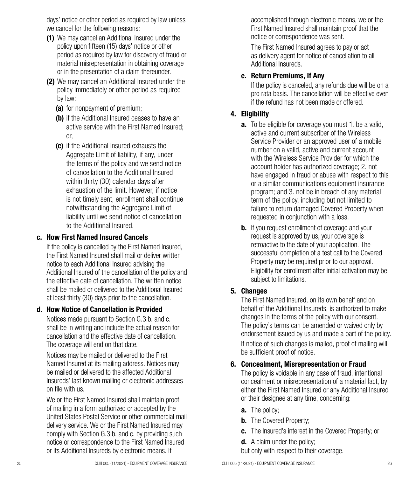days' notice or other period as required by law unless we cancel for the following reasons:

- (1) We may cancel an Additional Insured under the policy upon fifteen (15) days' notice or other period as required by law for discovery of fraud or material misrepresentation in obtaining coverage or in the presentation of a claim thereunder.
- (2) We may cancel an Additional Insured under the policy immediately or other period as required by law:
	- (a) for nonpayment of premium;
	- (b) if the Additional Insured ceases to have an active service with the First Named Insured; or,
	- (c) if the Additional Insured exhausts the Aggregate Limit of liability, if any, under the terms of the policy and we send notice of cancellation to the Additional Insured within thirty (30) calendar days after exhaustion of the limit. However, if notice is not timely sent, enrollment shall continue notwithstanding the Aggregate Limit of liability until we send notice of cancellation to the Additional Insured.

#### c. How First Named Insured Cancels

If the policy is cancelled by the First Named Insured, the First Named Insured shall mail or deliver written notice to each Additional Insured advising the Additional Insured of the cancellation of the policy and the effective date of cancellation. The written notice shall be mailed or delivered to the Additional Insured at least thirty (30) days prior to the cancellation.

#### d. How Notice of Cancellation is Provided

Notices made pursuant to Section G.3.b. and c. shall be in writing and include the actual reason for cancellation and the effective date of cancellation. The coverage will end on that date.

Notices may be mailed or delivered to the First Named Insured at its mailing address. Notices may be mailed or delivered to the affected Additional Insureds' last known mailing or electronic addresses on file with us.

We or the First Named Insured shall maintain proof of mailing in a form authorized or accepted by the United States Postal Service or other commercial mail delivery service. We or the First Named Insured may comply with Section G.3.b. and c. by providing such notice or correspondence to the First Named Insured or its Additional Insureds by electronic means. If

accomplished through electronic means, we or the First Named Insured shall maintain proof that the notice or correspondence was sent.

The First Named Insured agrees to pay or act as delivery agent for notice of cancellation to all Additional Insureds.

## e. Return Premiums, If Any

If the policy is canceled, any refunds due will be on a pro rata basis. The cancellation will be effective even if the refund has not been made or offered.

# 4. Eligibility

- **a.** To be eligible for coverage you must 1. be a valid, active and current subscriber of the Wireless Service Provider or an approved user of a mobile number on a valid, active and current account with the Wireless Service Provider for which the account holder has authorized coverage; 2. not have engaged in fraud or abuse with respect to this or a similar communications equipment insurance program; and 3. not be in breach of any material term of the policy, including but not limited to failure to return damaged Covered Property when requested in conjunction with a loss.
- **b.** If you request enrollment of coverage and your request is approved by us, your coverage is retroactive to the date of your application. The successful completion of a test call to the Covered Property may be required prior to our approval. Eligibility for enrollment after initial activation may be subject to limitations.

# 5. Changes

The First Named Insured, on its own behalf and on behalf of the Additional Insureds, is authorized to make changes in the terms of the policy with our consent. The policy's terms can be amended or waived only by endorsement issued by us and made a part of the policy.

If notice of such changes is mailed, proof of mailing will be sufficient proof of notice.

## 6. Concealment, Misrepresentation or Fraud

The policy is voidable in any case of fraud, intentional concealment or misrepresentation of a material fact, by either the First Named Insured or any Additional Insured or their designee at any time, concerning:

- **a.** The policy:
- **b.** The Covered Property;
- c. The Insured's interest in the Covered Property; or
- d. A claim under the policy;

but only with respect to their coverage.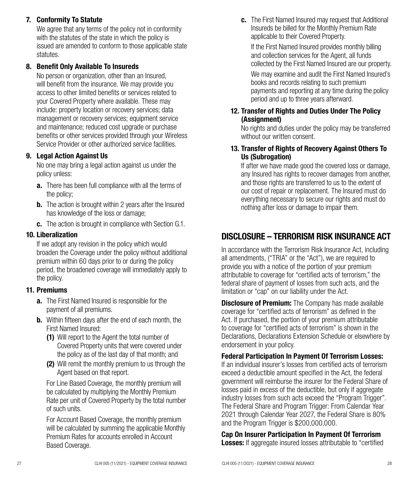#### 7. Conformity To Statute

We agree that any terms of the policy not in conformity with the statutes of the state in which the policy is issued are amended to conform to those applicable state statutes.

#### 8. Benefit Only Available To Insureds

No person or organization, other than an Insured, will benefit from the insurance. We may provide you access to other limited benefits or services related to your Covered Property where available. These may include: property location or recovery services; data management or recovery services; equipment service and maintenance; reduced cost upgrade or purchase benefits or other services provided through your Wireless Service Provider or other authorized service facilities.

#### 9. Legal Action Against Us

No one may bring a legal action against us under the policy unless:

- **a.** There has been full compliance with all the terms of the policy;
- **b.** The action is brought within 2 years after the Insured has knowledge of the loss or damage;
- c. The action is brought in compliance with Section G.1.

#### 10. Liberalization

If we adopt any revision in the policy which would broaden the Coverage under the policy without additional premium within 60 days prior to or during the policy period, the broadened coverage will immediately apply to the policy.

#### 11. Premiums

- a. The First Named Insured is responsible for the payment of all premiums.
- **b.** Within fifteen days after the end of each month, the First Named Insured:
	- (1) Will report to the Agent the total number of Covered Property units that were covered under the policy as of the last day of that month; and
	- (2) Will remit the monthly premium to us through the Agent based on that report.

For Line Based Coverage, the monthly premium will be calculated by multiplying the Monthly Premium Rate per unit of Covered Property by the total number of such units.

For Account Based Coverage, the monthly premium will be calculated by summing the applicable Monthly Premium Rates for accounts enrolled in Account Based Coverage.

c. The First Named Insured may request that Additional Insureds be billed for the Monthly Premium Rate applicable to their Covered Property.

If the First Named Insured provides monthly billing and collection services for the Agent, all funds collected by the First Named Insured are our property.

We may examine and audit the First Named Insured's books and records relating to such premium payments and reporting at any time during the policy period and up to three years afterward.

#### 12. Transfer of Rights and Duties Under The Policy (Assignment)

No rights and duties under the policy may be transferred without our written consent

#### 13. Transfer of Rights of Recovery Against Others To Us (Subrogation)

If after we have made good the covered loss or damage, any Insured has rights to recover damages from another, and those rights are transferred to us to the extent of our cost of repair or replacement. The Insured must do everything necessary to secure our rights and must do nothing after loss or damage to impair them.

# DISCLOSURE – TERRORISM RISK INSURANCE ACT

In accordance with the Terrorism Risk Insurance Act, including all amendments, ("TRIA" or the "Act"), we are required to provide you with a notice of the portion of your premium attributable to coverage for "certified acts of terrorism," the federal share of payment of losses from such acts, and the limitation or "cap" on our liability under the Act.

**Disclosure of Premium:** The Company has made available coverage for "certified acts of terrorism" as defined in the Act. If purchased, the portion of your premium attributable to coverage for "certified acts of terrorism" is shown in the Declarations, Declarations Extension Schedule or elsewhere by endorsement in your policy.

#### Federal Participation In Payment Of Terrorism Losses:

If an individual insurer's losses from certified acts of terrorism exceed a deductible amount specified in the Act, the federal government will reimburse the insurer for the Federal Share of losses paid in excess of the deductible, but only if aggregate industry losses from such acts exceed the "Program Trigger". The Federal Share and Program Trigger: From Calendar Year 2021 through Calendar Year 2027, the Federal Share is 80% and the Program Trigger is \$200,000,000.

Cap On Insurer Participation In Payment Of Terrorism **Losses:** If aggregate insured losses attributable to "certified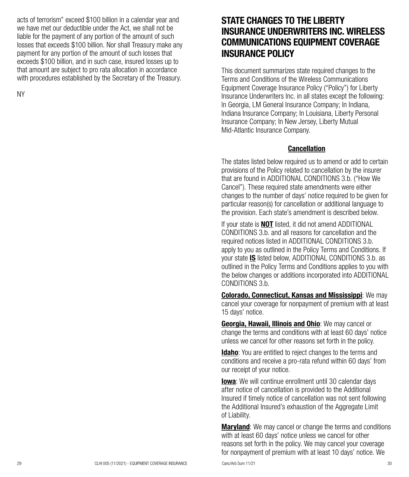acts of terrorism" exceed \$100 billion in a calendar year and we have met our deductible under the Act, we shall not be liable for the payment of any portion of the amount of such losses that exceeds \$100 billion. Nor shall Treasury make any payment for any portion of the amount of such losses that exceeds \$100 billion, and in such case, insured losses up to that amount are subject to pro rata allocation in accordance with procedures established by the Secretary of the Treasury.

NY

# STATE CHANGES TO THE LIBERTY INSURANCE UNDERWRITERS INC. WIRELESS COMMUNICATIONS EQUIPMENT COVERAGE INSURANCE POLICY

This document summarizes state required changes to the Terms and Conditions of the Wireless Communications Equipment Coverage Insurance Policy ("Policy") for Liberty Insurance Underwriters Inc. in all states except the following: In Georgia, LM General Insurance Company; In Indiana, Indiana Insurance Company; In Louisiana, Liberty Personal Insurance Company; In New Jersey, Liberty Mutual Mid-Atlantic Insurance Company.

#### Cancellation

The states listed below required us to amend or add to certain provisions of the Policy related to cancellation by the insurer that are found in ADDITIONAL CONDITIONS 3.b. ("How We Cancel"). These required state amendments were either changes to the number of days' notice required to be given for particular reason(s) for cancellation or additional language to the provision. Each state's amendment is described below.

If your state is **NOT** listed, it did not amend ADDITIONAL CONDITIONS 3.b. and all reasons for cancellation and the required notices listed in ADDITIONAL CONDITIONS 3.b. apply to you as outlined in the Policy Terms and Conditions. If your state IS listed below, ADDITIONAL CONDITIONS 3.b. as outlined in the Policy Terms and Conditions applies to you with the below changes or additions incorporated into ADDITIONAL CONDITIONS 3.b.

Colorado, Connecticut, Kansas and Mississippi: We may cancel your coverage for nonpayment of premium with at least 15 days' notice.

Georgia, Hawaii, Illinois and Ohio: We may cancel or change the terms and conditions with at least 60 days' notice unless we cancel for other reasons set forth in the policy.

**Idaho:** You are entitled to reject changes to the terms and conditions and receive a pro-rata refund within 60 days' from our receipt of your notice.

**Iowa**: We will continue enrollment until 30 calendar days after notice of cancellation is provided to the Additional Insured if timely notice of cancellation was not sent following the Additional Insured's exhaustion of the Aggregate Limit of Liability.

**Maryland**: We may cancel or change the terms and conditions with at least 60 days' notice unless we cancel for other reasons set forth in the policy. We may cancel your coverage for nonpayment of premium with at least 10 days' notice. We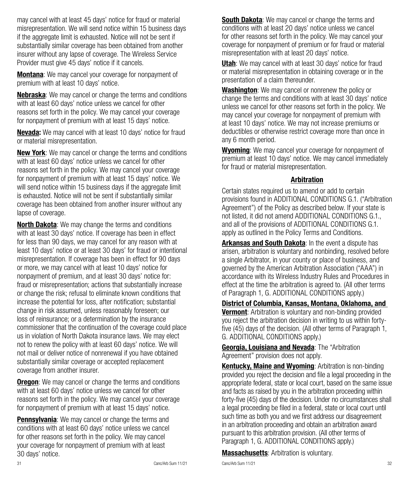may cancel with at least 45 days' notice for fraud or material misrepresentation. We will send notice within 15 business days if the aggregate limit is exhausted. Notice will not be sent if substantially similar coverage has been obtained from another insurer without any lapse of coverage. The Wireless Service Provider must give 45 days' notice if it cancels.

**Montana**: We may cancel your coverage for nonpayment of premium with at least 10 days' notice.

Nebraska: We may cancel or change the terms and conditions with at least 60 days' notice unless we cancel for other reasons set forth in the policy. We may cancel your coverage for nonpayment of premium with at least 15 days' notice.

**Nevada:** We may cancel with at least 10 days' notice for fraud or material misrepresentation.

**New York:** We may cancel or change the terms and conditions with at least 60 days' notice unless we cancel for other reasons set forth in the policy. We may cancel your coverage for nonpayment of premium with at least 15 days' notice. We will send notice within 15 business days if the aggregate limit is exhausted. Notice will not be sent if substantially similar coverage has been obtained from another insurer without any lapse of coverage.

**North Dakota:** We may change the terms and conditions with at least 30 days' notice. If coverage has been in effect for less than 90 days, we may cancel for any reason with at least 10 days' notice or at least 30 days' for fraud or intentional misrepresentation. If coverage has been in effect for 90 days or more, we may cancel with at least 10 days' notice for nonpayment of premium, and at least 30 days' notice for: fraud or misrepresentation; actions that substantially increase or change the risk; refusal to eliminate known conditions that increase the potential for loss, after notification; substantial change in risk assumed, unless reasonably foreseen; our loss of reinsurance; or a determination by the insurance commissioner that the continuation of the coverage could place us in violation of North Dakota insurance laws. We may elect not to renew the policy with at least 60 days' notice. We will not mail or deliver notice of nonrenewal if you have obtained substantially similar coverage or accepted replacement coverage from another insurer.

**Oregon**: We may cancel or change the terms and conditions with at least 60 days' notice unless we cancel for other reasons set forth in the policy. We may cancel your coverage for nonpayment of premium with at least 15 days' notice.

**Pennsylvania:** We may cancel or change the terms and conditions with at least 60 days' notice unless we cancel for other reasons set forth in the policy. We may cancel your coverage for nonpayment of premium with at least 30 days' notice.

**South Dakota:** We may cancel or change the terms and conditions with at least 20 days' notice unless we cancel for other reasons set forth in the policy. We may cancel your coverage for nonpayment of premium or for fraud or material misrepresentation with at least 20 days' notice.

**Utah:** We may cancel with at least 30 days' notice for fraud or material misrepresentation in obtaining coverage or in the presentation of a claim thereunder.

Washington: We may cancel or nonrenew the policy or change the terms and conditions with at least 30 days' notice unless we cancel for other reasons set forth in the policy. We may cancel your coverage for nonpayment of premium with at least 10 days' notice. We may not increase premiums or deductibles or otherwise restrict coverage more than once in any 6 month period.

**Wyoming:** We may cancel your coverage for nonpayment of premium at least 10 days' notice. We may cancel immediately for fraud or material misrepresentation.

#### Arbitration

Certain states required us to amend or add to certain provisions found in ADDITIONAL CONDITIONS G.1. ("Arbitration Agreement") of the Policy as described below. If your state is not listed, it did not amend ADDITIONAL CONDITIONS G.1., and all of the provisions of ADDITIONAL CONDITIONS G.1. apply as outlined in the Policy Terms and Conditions.

Arkansas and South Dakota: In the event a dispute has arisen, arbitration is voluntary and nonbinding, resolved before a single Arbitrator, in your county or place of business, and governed by the American Arbitration Association ("AAA") in accordance with its Wireless Industry Rules and Procedures in effect at the time the arbitration is agreed to. (All other terms of Paragraph 1, G. ADDITIONAL CONDITIONS apply.)

District of Columbia, Kansas, Montana, Oklahoma, and Vermont: Arbitration is voluntary and non-binding provided you reject the arbitration decision in writing to us within fortyfive (45) days of the decision. (All other terms of Paragraph 1, G. ADDITIONAL CONDITIONS apply.)

Georgia, Louisiana and Nevada: The "Arbitration Agreement" provision does not apply.

Kentucky, Maine and Wyoming: Arbitration is non-binding provided you reject the decision and file a legal proceeding in the appropriate federal, state or local court, based on the same issue and facts as raised by you in the arbitration proceeding within forty-five (45) days of the decision. Under no circumstances shall a legal proceeding be filed in a federal, state or local court until such time as both you and we first address our disagreement in an arbitration proceeding and obtain an arbitration award pursuant to this arbitration provision. (All other terms of Paragraph 1, G. ADDITIONAL CONDITIONS apply.)

**Massachusetts: Arbitration is voluntary.**